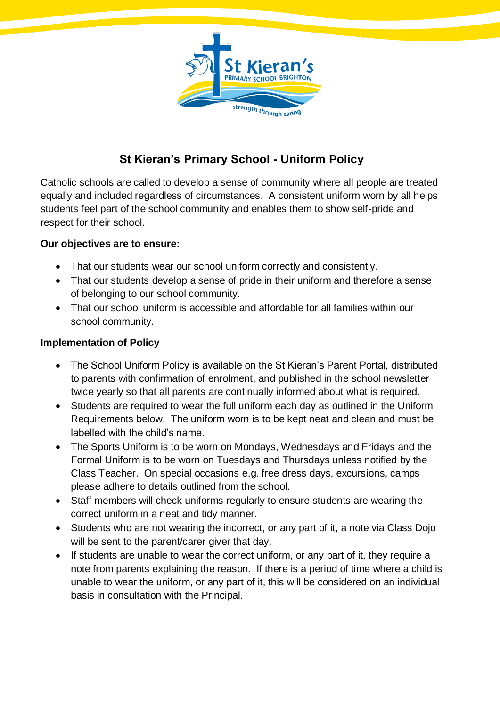

# **St Kieran's Primary School - Uniform Policy**

Catholic schools are called to develop a sense of community where all people are treated equally and included regardless of circumstances. A consistent uniform worn by all helps students feel part of the school community and enables them to show self-pride and respect for their school.

## **Our objectives are to ensure:**

- That our students wear our school uniform correctly and consistently.
- That our students develop a sense of pride in their uniform and therefore a sense of belonging to our school community.
- That our school uniform is accessible and affordable for all families within our school community.

## **Implementation of Policy**

- The School Uniform Policy is available on the St Kieran's Parent Portal, distributed to parents with confirmation of enrolment, and published in the school newsletter twice yearly so that all parents are continually informed about what is required.
- Students are required to wear the full uniform each day as outlined in the Uniform Requirements below. The uniform worn is to be kept neat and clean and must be labelled with the child's name.
- The Sports Uniform is to be worn on Mondays, Wednesdays and Fridays and the Formal Uniform is to be worn on Tuesdays and Thursdays unless notified by the Class Teacher. On special occasions e.g. free dress days, excursions, camps please adhere to details outlined from the school.
- Staff members will check uniforms regularly to ensure students are wearing the correct uniform in a neat and tidy manner.
- Students who are not wearing the incorrect, or any part of it, a note via Class Dojo will be sent to the parent/carer giver that day.
- If students are unable to wear the correct uniform, or any part of it, they require a note from parents explaining the reason. If there is a period of time where a child is unable to wear the uniform, or any part of it, this will be considered on an individual basis in consultation with the Principal.